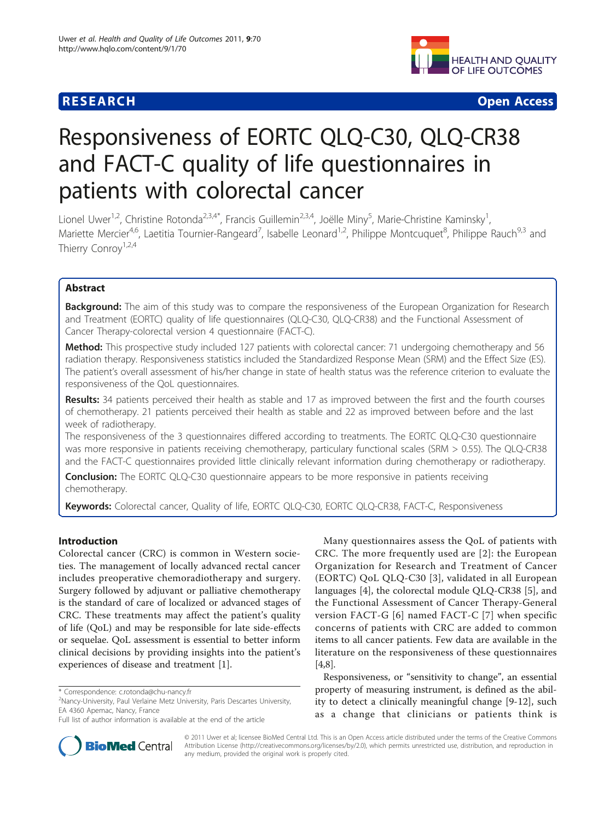

**RESEARCH CONSTRUCTION CONSTRUCTS** 

# Responsiveness of EORTC QLQ-C30, QLQ-CR38 and FACT-C quality of life questionnaires in patients with colorectal cancer

Lionel Uwer<sup>1,2</sup>, Christine Rotonda<sup>2,3,4\*</sup>, Francis Guillemin<sup>2,3,4</sup>, Joëlle Miny<sup>5</sup>, Marie-Christine Kaminsky<sup>1</sup> , Mariette Mercier<sup>4,6</sup>, Laetitia Tournier-Rangeard<sup>7</sup>, Isabelle Leonard<sup>1,2</sup>, Philippe Montcuquet<sup>8</sup>, Philippe Rauch<sup>9,3</sup> and Thierry Conroy<sup>1,2,4</sup>

# Abstract

Background: The aim of this study was to compare the responsiveness of the European Organization for Research and Treatment (EORTC) quality of life questionnaires (QLQ-C30, QLQ-CR38) and the Functional Assessment of Cancer Therapy-colorectal version 4 questionnaire (FACT-C).

Method: This prospective study included 127 patients with colorectal cancer: 71 undergoing chemotherapy and 56 radiation therapy. Responsiveness statistics included the Standardized Response Mean (SRM) and the Effect Size (ES). The patient's overall assessment of his/her change in state of health status was the reference criterion to evaluate the responsiveness of the QoL questionnaires.

Results: 34 patients perceived their health as stable and 17 as improved between the first and the fourth courses of chemotherapy. 21 patients perceived their health as stable and 22 as improved between before and the last week of radiotherapy.

The responsiveness of the 3 questionnaires differed according to treatments. The EORTC QLQ-C30 questionnaire was more responsive in patients receiving chemotherapy, particulary functional scales (SRM > 0.55). The QLQ-CR38 and the FACT-C questionnaires provided little clinically relevant information during chemotherapy or radiotherapy.

**Conclusion:** The EORTC QLQ-C30 questionnaire appears to be more responsive in patients receiving chemotherapy.

Keywords: Colorectal cancer, Quality of life, EORTC QLQ-C30, EORTC QLQ-CR38, FACT-C, Responsiveness

# Introduction

Colorectal cancer (CRC) is common in Western societies. The management of locally advanced rectal cancer includes preoperative chemoradiotherapy and surgery. Surgery followed by adjuvant or palliative chemotherapy is the standard of care of localized or advanced stages of CRC. These treatments may affect the patient's quality of life (QoL) and may be responsible for late side-effects or sequelae. QoL assessment is essential to better inform clinical decisions by providing insights into the patient's experiences of disease and treatment [\[1](#page-8-0)].



Responsiveness, or "sensitivity to change", an essential property of measuring instrument, is defined as the ability to detect a clinically meaningful change [\[9](#page-8-0)-[12\]](#page-8-0), such as a change that clinicians or patients think is



© 2011 Uwer et al; licensee BioMed Central Ltd. This is an Open Access article distributed under the terms of the Creative Commons Attribution License [\(http://creativecommons.org/licenses/by/2.0](http://creativecommons.org/licenses/by/2.0)), which permits unrestricted use, distribution, and reproduction in any medium, provided the original work is properly cited.

<sup>\*</sup> Correspondence: [c.rotonda@chu-nancy.fr](mailto:c.rotonda@chu-nancy.fr)

<sup>&</sup>lt;sup>2</sup>Nancy-University, Paul Verlaine Metz University, Paris Descartes University, EA 4360 Apemac, Nancy, France

Full list of author information is available at the end of the article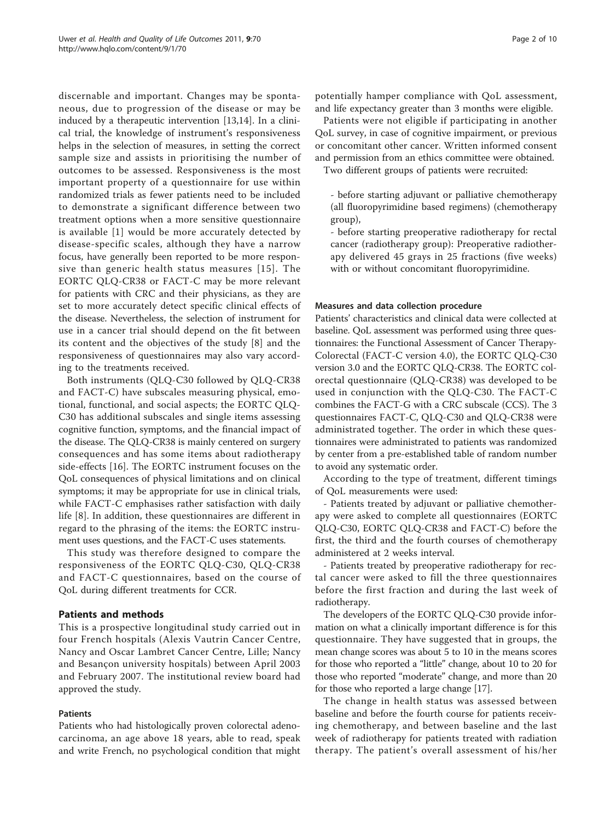discernable and important. Changes may be spontaneous, due to progression of the disease or may be induced by a therapeutic intervention [\[13,](#page-8-0)[14\]](#page-9-0). In a clinical trial, the knowledge of instrument's responsiveness helps in the selection of measures, in setting the correct sample size and assists in prioritising the number of outcomes to be assessed. Responsiveness is the most important property of a questionnaire for use within randomized trials as fewer patients need to be included to demonstrate a significant difference between two treatment options when a more sensitive questionnaire is available [\[1\]](#page-8-0) would be more accurately detected by disease-specific scales, although they have a narrow focus, have generally been reported to be more responsive than generic health status measures [[15\]](#page-9-0). The EORTC QLQ-CR38 or FACT-C may be more relevant for patients with CRC and their physicians, as they are set to more accurately detect specific clinical effects of the disease. Nevertheless, the selection of instrument for use in a cancer trial should depend on the fit between its content and the objectives of the study [[8](#page-8-0)] and the responsiveness of questionnaires may also vary according to the treatments received.

Both instruments (QLQ-C30 followed by QLQ-CR38 and FACT-C) have subscales measuring physical, emotional, functional, and social aspects; the EORTC QLQ-C30 has additional subscales and single items assessing cognitive function, symptoms, and the financial impact of the disease. The QLQ-CR38 is mainly centered on surgery consequences and has some items about radiotherapy side-effects [[16\]](#page-9-0). The EORTC instrument focuses on the QoL consequences of physical limitations and on clinical symptoms; it may be appropriate for use in clinical trials, while FACT-C emphasises rather satisfaction with daily life [[8\]](#page-8-0). In addition, these questionnaires are different in regard to the phrasing of the items: the EORTC instrument uses questions, and the FACT-C uses statements.

This study was therefore designed to compare the responsiveness of the EORTC QLQ-C30, QLQ-CR38 and FACT-C questionnaires, based on the course of QoL during different treatments for CCR.

# Patients and methods

This is a prospective longitudinal study carried out in four French hospitals (Alexis Vautrin Cancer Centre, Nancy and Oscar Lambret Cancer Centre, Lille; Nancy and Besançon university hospitals) between April 2003 and February 2007. The institutional review board had approved the study.

#### Patients

Patients who had histologically proven colorectal adenocarcinoma, an age above 18 years, able to read, speak and write French, no psychological condition that might

potentially hamper compliance with QoL assessment, and life expectancy greater than 3 months were eligible.

Patients were not eligible if participating in another QoL survey, in case of cognitive impairment, or previous or concomitant other cancer. Written informed consent and permission from an ethics committee were obtained.

Two different groups of patients were recruited:

- before starting adjuvant or palliative chemotherapy (all fluoropyrimidine based regimens) (chemotherapy group),

- before starting preoperative radiotherapy for rectal cancer (radiotherapy group): Preoperative radiotherapy delivered 45 grays in 25 fractions (five weeks) with or without concomitant fluoropyrimidine.

#### Measures and data collection procedure

Patients' characteristics and clinical data were collected at baseline. QoL assessment was performed using three questionnaires: the Functional Assessment of Cancer Therapy-Colorectal (FACT-C version 4.0), the EORTC QLQ-C30 version 3.0 and the EORTC QLQ-CR38. The EORTC colorectal questionnaire (QLQ-CR38) was developed to be used in conjunction with the QLQ-C30. The FACT-C combines the FACT-G with a CRC subscale (CCS). The 3 questionnaires FACT-C, QLQ-C30 and QLQ-CR38 were administrated together. The order in which these questionnaires were administrated to patients was randomized by center from a pre-established table of random number to avoid any systematic order.

According to the type of treatment, different timings of QoL measurements were used:

- Patients treated by adjuvant or palliative chemotherapy were asked to complete all questionnaires (EORTC QLQ-C30, EORTC QLQ-CR38 and FACT-C) before the first, the third and the fourth courses of chemotherapy administered at 2 weeks interval.

- Patients treated by preoperative radiotherapy for rectal cancer were asked to fill the three questionnaires before the first fraction and during the last week of radiotherapy.

The developers of the EORTC QLQ-C30 provide information on what a clinically important difference is for this questionnaire. They have suggested that in groups, the mean change scores was about 5 to 10 in the means scores for those who reported a "little" change, about 10 to 20 for those who reported "moderate" change, and more than 20 for those who reported a large change [\[17](#page-9-0)].

The change in health status was assessed between baseline and before the fourth course for patients receiving chemotherapy, and between baseline and the last week of radiotherapy for patients treated with radiation therapy. The patient's overall assessment of his/her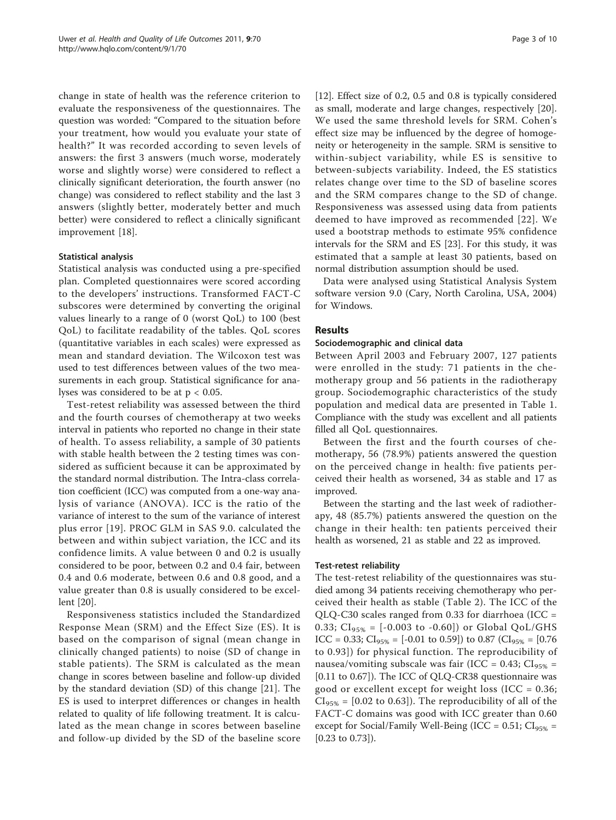change in state of health was the reference criterion to evaluate the responsiveness of the questionnaires. The question was worded: "Compared to the situation before your treatment, how would you evaluate your state of health?" It was recorded according to seven levels of answers: the first 3 answers (much worse, moderately worse and slightly worse) were considered to reflect a clinically significant deterioration, the fourth answer (no change) was considered to reflect stability and the last 3 answers (slightly better, moderately better and much better) were considered to reflect a clinically significant improvement [[18](#page-9-0)].

# Statistical analysis

Statistical analysis was conducted using a pre-specified plan. Completed questionnaires were scored according to the developers' instructions. Transformed FACT-C subscores were determined by converting the original values linearly to a range of 0 (worst QoL) to 100 (best QoL) to facilitate readability of the tables. QoL scores (quantitative variables in each scales) were expressed as mean and standard deviation. The Wilcoxon test was used to test differences between values of the two measurements in each group. Statistical significance for analyses was considered to be at  $p < 0.05$ .

Test-retest reliability was assessed between the third and the fourth courses of chemotherapy at two weeks interval in patients who reported no change in their state of health. To assess reliability, a sample of 30 patients with stable health between the 2 testing times was considered as sufficient because it can be approximated by the standard normal distribution. The Intra-class correlation coefficient (ICC) was computed from a one-way analysis of variance (ANOVA). ICC is the ratio of the variance of interest to the sum of the variance of interest plus error [[19](#page-9-0)]. PROC GLM in SAS 9.0. calculated the between and within subject variation, the ICC and its confidence limits. A value between 0 and 0.2 is usually considered to be poor, between 0.2 and 0.4 fair, between 0.4 and 0.6 moderate, between 0.6 and 0.8 good, and a value greater than 0.8 is usually considered to be excellent [\[20\]](#page-9-0).

Responsiveness statistics included the Standardized Response Mean (SRM) and the Effect Size (ES). It is based on the comparison of signal (mean change in clinically changed patients) to noise (SD of change in stable patients). The SRM is calculated as the mean change in scores between baseline and follow-up divided by the standard deviation (SD) of this change [\[21](#page-9-0)]. The ES is used to interpret differences or changes in health related to quality of life following treatment. It is calculated as the mean change in scores between baseline and follow-up divided by the SD of the baseline score [[12\]](#page-8-0). Effect size of 0.2, 0.5 and 0.8 is typically considered as small, moderate and large changes, respectively [[20](#page-9-0)]. We used the same threshold levels for SRM. Cohen's effect size may be influenced by the degree of homogeneity or heterogeneity in the sample. SRM is sensitive to within-subject variability, while ES is sensitive to between-subjects variability. Indeed, the ES statistics relates change over time to the SD of baseline scores and the SRM compares change to the SD of change. Responsiveness was assessed using data from patients deemed to have improved as recommended [[22](#page-9-0)]. We used a bootstrap methods to estimate 95% confidence intervals for the SRM and ES [[23\]](#page-9-0). For this study, it was estimated that a sample at least 30 patients, based on normal distribution assumption should be used.

Data were analysed using Statistical Analysis System software version 9.0 (Cary, North Carolina, USA, 2004) for Windows.

# Results

# Sociodemographic and clinical data

Between April 2003 and February 2007, 127 patients were enrolled in the study: 71 patients in the chemotherapy group and 56 patients in the radiotherapy group. Sociodemographic characteristics of the study population and medical data are presented in Table [1](#page-3-0). Compliance with the study was excellent and all patients filled all QoL questionnaires.

Between the first and the fourth courses of chemotherapy, 56 (78.9%) patients answered the question on the perceived change in health: five patients perceived their health as worsened, 34 as stable and 17 as improved.

Between the starting and the last week of radiotherapy, 48 (85.7%) patients answered the question on the change in their health: ten patients perceived their health as worsened, 21 as stable and 22 as improved.

# Test-retest reliability

The test-retest reliability of the questionnaires was studied among 34 patients receiving chemotherapy who perceived their health as stable (Table [2](#page-4-0)). The ICC of the QLQ-C30 scales ranged from 0.33 for diarrhoea (ICC = 0.33;  $CI_{95\%} = [-0.003 \text{ to } -0.60])$  or Global QoL/GHS ICC = 0.33; CI<sub>95%</sub> = [-0.01 to 0.59]) to 0.87 (CI<sub>95%</sub> = [0.76 to 0.93]) for physical function. The reproducibility of nausea/vomiting subscale was fair (ICC =  $0.43$ ; CI<sub>95%</sub> = [0.11 to 0.67]). The ICC of QLQ-CR38 questionnaire was good or excellent except for weight loss (ICC = 0.36;  $CI<sub>95%</sub> = [0.02 to 0.63]$ . The reproducibility of all of the FACT-C domains was good with ICC greater than 0.60 except for Social/Family Well-Being (ICC =  $0.51$ ; CI<sub>95%</sub> = [0.23 to 0.73]).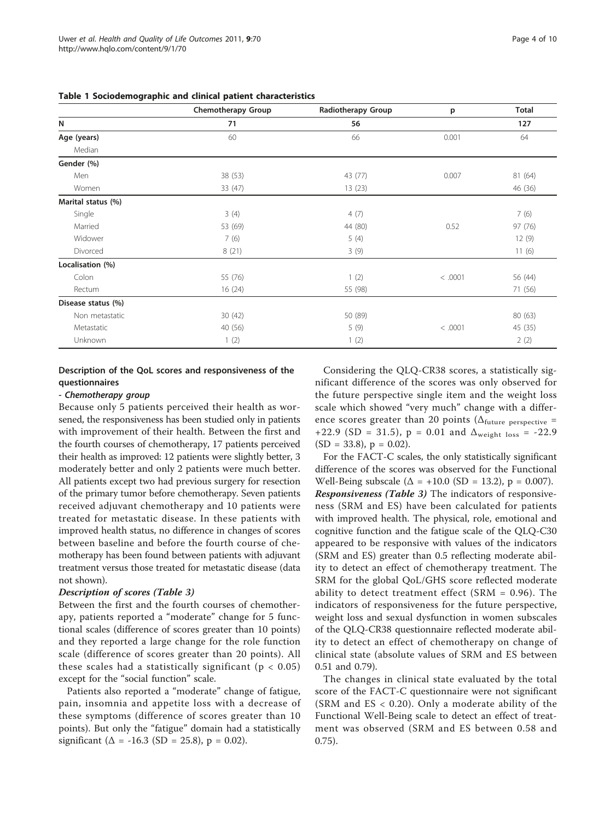|                    | Chemotherapy Group | Radiotherapy Group | p       | <b>Total</b> |
|--------------------|--------------------|--------------------|---------|--------------|
| N                  | 71                 | 56                 |         | 127          |
| Age (years)        | 60                 | 66                 | 0.001   | 64           |
| Median             |                    |                    |         |              |
| Gender (%)         |                    |                    |         |              |
| Men                | 38 (53)            | 43 (77)            | 0.007   | 81 (64)      |
| Women              | 33 (47)            | 13(23)             |         | 46 (36)      |
| Marital status (%) |                    |                    |         |              |
| Single             | 3(4)               | 4(7)               |         | 7(6)         |
| Married            | 53 (69)            | 44 (80)            | 0.52    | 97 (76)      |
| Widower            | 7(6)               | 5(4)               |         | 12(9)        |
| Divorced           | 8(21)              | 3(9)               |         | 11(6)        |
| Localisation (%)   |                    |                    |         |              |
| Colon              | 55 (76)            | 1(2)               | < .0001 | 56 (44)      |
| Rectum             | 16(24)             | 55 (98)            |         | 71 (56)      |
| Disease status (%) |                    |                    |         |              |
| Non metastatic     | 30(42)             | 50 (89)            |         | 80 (63)      |
| Metastatic         | 40 (56)            | 5(9)               | < .0001 | 45 (35)      |
| Unknown            | 1(2)               | 1(2)               |         | 2(2)         |

<span id="page-3-0"></span>Table 1 Sociodemographic and clinical patient characteristics

# Description of the QoL scores and responsiveness of the questionnaires

#### - Chemotherapy group

Because only 5 patients perceived their health as worsened, the responsiveness has been studied only in patients with improvement of their health. Between the first and the fourth courses of chemotherapy, 17 patients perceived their health as improved: 12 patients were slightly better, 3 moderately better and only 2 patients were much better. All patients except two had previous surgery for resection of the primary tumor before chemotherapy. Seven patients received adjuvant chemotherapy and 10 patients were treated for metastatic disease. In these patients with improved health status, no difference in changes of scores between baseline and before the fourth course of chemotherapy has been found between patients with adjuvant treatment versus those treated for metastatic disease (data not shown).

#### Description of scores (Table [3\)](#page-5-0)

Between the first and the fourth courses of chemotherapy, patients reported a "moderate" change for 5 functional scales (difference of scores greater than 10 points) and they reported a large change for the role function scale (difference of scores greater than 20 points). All these scales had a statistically significant ( $p < 0.05$ ) except for the "social function" scale.

Patients also reported a "moderate" change of fatigue, pain, insomnia and appetite loss with a decrease of these symptoms (difference of scores greater than 10 points). But only the "fatigue" domain had a statistically significant ( $\Delta$  = -16.3 (SD = 25.8), p = 0.02).

Considering the QLQ-CR38 scores, a statistically significant difference of the scores was only observed for the future perspective single item and the weight loss scale which showed "very much" change with a difference scores greater than 20 points ( $\Delta_{\text{future perspective}} =$ +22.9 (SD = 31.5),  $p = 0.01$  and  $\Delta_{weight loss} = -22.9$  $(SD = 33.8)$ ,  $p = 0.02$ ).

For the FACT-C scales, the only statistically significant difference of the scores was observed for the Functional Well-Being subscale ( $\Delta$  = +10.0 (SD = 13.2), p = 0.007). Responsiveness (Table [3\)](#page-5-0) The indicators of responsiveness (SRM and ES) have been calculated for patients with improved health. The physical, role, emotional and cognitive function and the fatigue scale of the QLQ-C30 appeared to be responsive with values of the indicators (SRM and ES) greater than 0.5 reflecting moderate ability to detect an effect of chemotherapy treatment. The SRM for the global QoL/GHS score reflected moderate ability to detect treatment effect (SRM = 0.96). The indicators of responsiveness for the future perspective, weight loss and sexual dysfunction in women subscales of the QLQ-CR38 questionnaire reflected moderate ability to detect an effect of chemotherapy on change of clinical state (absolute values of SRM and ES between 0.51 and 0.79).

The changes in clinical state evaluated by the total score of the FACT-C questionnaire were not significant (SRM and ES < 0.20). Only a moderate ability of the Functional Well-Being scale to detect an effect of treatment was observed (SRM and ES between 0.58 and 0.75).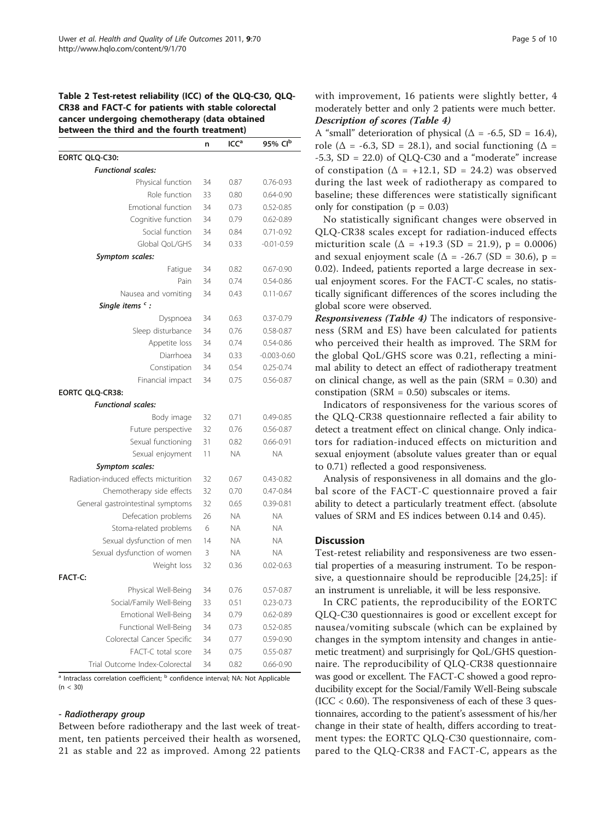<span id="page-4-0"></span>Table 2 Test-retest reliability (ICC) of the QLQ-C30, QLQ-CR38 and FACT-C for patients with stable colorectal cancer undergoing chemotherapy (data obtained between the third and the fourth treatment)

|                                       | n  | ICC <sup>a</sup> | 95% Clb         |
|---------------------------------------|----|------------------|-----------------|
| EORTC QLQ-C30:                        |    |                  |                 |
| <b>Functional scales:</b>             |    |                  |                 |
| Physical function                     | 34 | 0.87             | $0.76 - 0.93$   |
| Role function                         | 33 | 0.80             | $0.64 - 0.90$   |
| Emotional function                    | 34 | 0.73             | $0.52 - 0.85$   |
| Cognitive function                    | 34 | 0.79             | $0.62 - 0.89$   |
| Social function                       | 34 | 0.84             | $0.71 - 0.92$   |
| Global OoL/GHS                        | 34 | 0.33             | $-0.01 - 0.59$  |
| Symptom scales:                       |    |                  |                 |
| Fatigue                               | 34 | 0.82             | $0.67 - 0.90$   |
| Pain                                  | 34 | 0.74             | $0.54 - 0.86$   |
| Nausea and vomiting                   | 34 | 0.43             | $0.11 - 0.67$   |
| Single items $\cdot$ :                |    |                  |                 |
| Dyspnoea                              | 34 | 0.63             | $0.37 - 0.79$   |
| Sleep disturbance                     | 34 | 0.76             | $0.58 - 0.87$   |
| Appetite loss                         | 34 | 0.74             | $0.54 - 0.86$   |
| Diarrhoea                             | 34 | 0.33             | $-0.003 - 0.60$ |
| Constipation                          | 34 | 0.54             | $0.25 - 0.74$   |
| Financial impact                      | 34 | 0.75             | $0.56 - 0.87$   |
| EORTC QLQ-CR38:                       |    |                  |                 |
| <b>Functional scales:</b>             |    |                  |                 |
| Body image                            | 32 | 0.71             | $0.49 - 0.85$   |
| Future perspective                    | 32 | 0.76             | $0.56 - 0.87$   |
| Sexual functioning                    | 31 | 0.82             | $0.66 - 0.91$   |
| Sexual enjoyment                      | 11 | <b>NA</b>        | <b>NA</b>       |
| <b>Symptom scales:</b>                |    |                  |                 |
| Radiation-induced effects micturition | 32 | 0.67             | $0.43 - 0.82$   |
| Chemotherapy side effects             | 32 | 0.70             | $0.47 - 0.84$   |
| General gastrointestinal symptoms     | 32 | 0.65             | $0.39 - 0.81$   |
| Defecation problems                   | 26 | <b>NA</b>        | <b>NA</b>       |
| Stoma-related problems                | 6  | <b>NA</b>        | <b>NA</b>       |
| Sexual dysfunction of men             | 14 | <b>NA</b>        | <b>NA</b>       |
| Sexual dysfunction of women           | 3  | <b>NA</b>        | <b>NA</b>       |
| Weight loss                           | 32 | 0.36             | $0.02 - 0.63$   |
| <b>FACT-C:</b>                        |    |                  |                 |
| Physical Well-Being                   | 34 | 0.76             | $0.57 - 0.87$   |
| Social/Family Well-Being              | 33 | 0.51             | $0.23 - 0.73$   |
| Emotional Well-Being                  | 34 | 0.79             | $0.62 - 0.89$   |
| Functional Well-Being                 | 34 | 0.73             | $0.52 - 0.85$   |
| Colorectal Cancer Specific            | 34 | 0.77             | $0.59 - 0.90$   |
| FACT-C total score                    | 34 | 0.75             | $0.55 - 0.87$   |
| Trial Outcome Index-Colorectal        | 34 | 0.82             | $0.66 - 0.90$   |

<sup>a</sup> Intraclass correlation coefficient; <sup>b</sup> confidence interval; NA: Not Applicable  $(n < 30)$ 

#### - Radiotherapy group

Between before radiotherapy and the last week of treatment, ten patients perceived their health as worsened, 21 as stable and 22 as improved. Among 22 patients with improvement, 16 patients were slightly better, 4 moderately better and only 2 patients were much better. Description of scores (Table [4\)](#page-6-0)

A "small" deterioration of physical ( $\Delta$  = -6.5, SD = 16.4), role ( $\Delta$  = -6.3, SD = 28.1), and social functioning ( $\Delta$  =  $-5.3$ , SD = 22.0) of QLQ-C30 and a "moderate" increase of constipation ( $\Delta$  = +12.1, SD = 24.2) was observed during the last week of radiotherapy as compared to baseline; these differences were statistically significant only for constipation ( $p = 0.03$ )

No statistically significant changes were observed in QLQ-CR38 scales except for radiation-induced effects micturition scale ( $\Delta$  = +19.3 (SD = 21.9), p = 0.0006) and sexual enjoyment scale ( $\Delta$  = -26.7 (SD = 30.6), p = 0.02). Indeed, patients reported a large decrease in sexual enjoyment scores. For the FACT-C scales, no statistically significant differences of the scores including the global score were observed.

Responsiveness (Table [4\)](#page-6-0) The indicators of responsiveness (SRM and ES) have been calculated for patients who perceived their health as improved. The SRM for the global QoL/GHS score was 0.21, reflecting a minimal ability to detect an effect of radiotherapy treatment on clinical change, as well as the pain (SRM = 0.30) and constipation (SRM = 0.50) subscales or items.

Indicators of responsiveness for the various scores of the QLQ-CR38 questionnaire reflected a fair ability to detect a treatment effect on clinical change. Only indicators for radiation-induced effects on micturition and sexual enjoyment (absolute values greater than or equal to 0.71) reflected a good responsiveness.

Analysis of responsiveness in all domains and the global score of the FACT-C questionnaire proved a fair ability to detect a particularly treatment effect. (absolute values of SRM and ES indices between 0.14 and 0.45).

#### **Discussion**

Test-retest reliability and responsiveness are two essential properties of a measuring instrument. To be responsive, a questionnaire should be reproducible [[24](#page-9-0),[25\]](#page-9-0): if an instrument is unreliable, it will be less responsive.

In CRC patients, the reproducibility of the EORTC QLQ-C30 questionnaires is good or excellent except for nausea/vomiting subscale (which can be explained by changes in the symptom intensity and changes in antiemetic treatment) and surprisingly for QoL/GHS questionnaire. The reproducibility of QLQ-CR38 questionnaire was good or excellent. The FACT-C showed a good reproducibility except for the Social/Family Well-Being subscale  $(ICC < 0.60)$ . The responsiveness of each of these 3 questionnaires, according to the patient's assessment of his/her change in their state of health, differs according to treatment types: the EORTC QLQ-C30 questionnaire, compared to the QLQ-CR38 and FACT-C, appears as the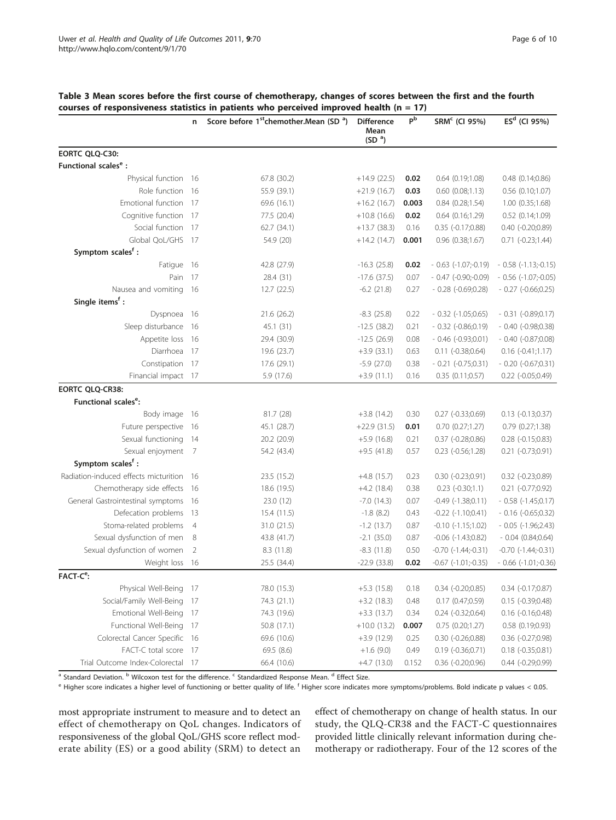| Page 6 of 10 |  |  |
|--------------|--|--|
|--------------|--|--|

|                                       | n              | Score before 1 <sup>st</sup> chemother.Mean (SD <sup>a</sup> ) | <b>Difference</b><br>Mean<br>(SD <sup>a</sup> ) | $P^{\overline{b}}$ | SRM <sup>c</sup> (CI 95%)     | $ESd$ (CI 95%)                |
|---------------------------------------|----------------|----------------------------------------------------------------|-------------------------------------------------|--------------------|-------------------------------|-------------------------------|
| EORTC QLQ-C30:                        |                |                                                                |                                                 |                    |                               |                               |
| Functional scales <sup>e</sup> :      |                |                                                                |                                                 |                    |                               |                               |
| Physical function 16                  |                | 67.8 (30.2)                                                    | $+14.9(22.5)$                                   | 0.02               | $0.64$ $(0.19;1.08)$          | $0.48$ $(0.14;0.86)$          |
| Role function                         | 16             | 55.9 (39.1)                                                    | $+21.9(16.7)$                                   | 0.03               | $0.60$ $(0.08;1.13)$          | $0.56$ $(0.10;1.07)$          |
| Emotional function                    | 17             | 69.6 (16.1)                                                    | $+16.2(16.7)$                                   | 0.003              | 0.84(0.28;1.54)               | 1.00(0.35;1.68)               |
| Cognitive function                    | 17             | 77.5 (20.4)                                                    | $+10.8(16.6)$                                   | 0.02               | $0.64$ $(0.16;1.29)$          | 0.52 (0.14;1.09)              |
| Social function                       | -17            | 62.7(34.1)                                                     | $+13.7(38.3)$                                   | 0.16               | $0.35$ ( $-0.17;0.88$ )       | $0.40$ $(-0.20;0.89)$         |
| Global QoL/GHS                        | - 17           | 54.9 (20)                                                      | $+14.2(14.7)$                                   | 0.001              | $0.96$ $(0.38;1.67)$          | $0.71$ $(-0.23;1.44)$         |
| Symptom scales <sup>f</sup> :         |                |                                                                |                                                 |                    |                               |                               |
| Fatigue                               | 16             | 42.8 (27.9)                                                    | $-16.3(25.8)$                                   | 0.02               | $-0.63$ $(-1.07,-0.19)$       | $-0.58$ $(-1.13,-0.15)$       |
| Pain                                  | 17             | 28.4 (31)                                                      | $-17.6(37.5)$                                   | 0.07               | $-0.47$ ( $-0.90$ ; $-0.09$ ) | $-0.56$ ( $-1.07$ ; $-0.05$ ) |
| Nausea and vomiting                   | 16             | 12.7 (22.5)                                                    | $-6.2$ (21.8)                                   | 0.27               | $-0.28$ $(-0.69;0.28)$        | $-0.27$ $(-0.66;0.25)$        |
| Single items <sup>f</sup> :           |                |                                                                |                                                 |                    |                               |                               |
| Dyspnoea                              | -16            | 21.6 (26.2)                                                    | $-8.3$ (25.8)                                   | 0.22               | $-0.32$ $(-1.05;0.65)$        | $-0.31$ $(-0.89;0.17)$        |
| Sleep disturbance                     | 16             | 45.1 (31)                                                      | $-12.5(38.2)$                                   | 0.21               | $-0.32$ $(-0.86;0.19)$        | $-0.40(-0.98;0.38)$           |
| Appetite loss                         | 16             | 29.4 (30.9)                                                    | $-12.5(26.9)$                                   | 0.08               | $-0.46(-0.93;0.01)$           | $-0.40(-0.87;0.08)$           |
| Diarrhoea                             | 17             | 19.6 (23.7)                                                    | $+3.9(33.1)$                                    | 0.63               | $0.11 (-0.38; 0.64)$          | $0.16 (-0.41;1.17)$           |
| Constipation                          | 17             | 17.6 (29.1)                                                    | $-5.9(27.0)$                                    | 0.38               | $-0.21$ ( $-0.75;0.31$ )      | $-0.20$ ( $-0.67;0.31$ )      |
| Financial impact                      | -17            | 5.9 (17.6)                                                     | $+3.9(11.1)$                                    | 0.16               | 0.35(0.11;0.57)               | 0.22 (-0.05;0.49)             |
| <b>EORTC QLQ-CR38:</b>                |                |                                                                |                                                 |                    |                               |                               |
| Functional scales <sup>e</sup> :      |                |                                                                |                                                 |                    |                               |                               |
| Body image 16                         |                | 81.7 (28)                                                      | $+3.8(14.2)$                                    | 0.30               | $0.27$ ( $-0.33;0.69$ )       | $0.13(-0.13;0.37)$            |
| Future perspective                    | -16            | 45.1 (28.7)                                                    | $+22.9(31.5)$                                   | 0.01               | $0.70$ $(0.27;1.27)$          | 0.79 (0.27;1.38)              |
| Sexual functioning                    | 14             | 20.2 (20.9)                                                    | $+5.9(16.8)$                                    | 0.21               | $0.37$ $(-0.28;0.86)$         | 0.28 (-0.15;0.83)             |
| Sexual enjoyment                      | - 7            | 54.2 (43.4)                                                    | $+9.5(41.8)$                                    | 0.57               | $0.23$ $(-0.56;1.28)$         | 0.21 (-0.73;0.91)             |
| Symptom scales <sup>f</sup> :         |                |                                                                |                                                 |                    |                               |                               |
| Radiation-induced effects micturition | - 16           | 23.5 (15.2)                                                    | $+4.8$ (15.7)                                   | 0.23               | $0.30(-0.23;0.91)$            | $0.32$ (-0.23;0.89)           |
| Chemotherapy side effects             | 16             | 18.6 (19.5)                                                    | $+4.2$ (18.4)                                   | 0.38               | $0.23$ $(-0.30;1.1)$          | $0.21$ $(-0.77;0.92)$         |
| General Gastrointestinal symptoms     | 16             | 23.0 (12)                                                      | $-7.0$ (14.3)                                   | 0.07               | $-0.49$ $(-1.38;0.11)$        | $-0.58$ $(-1.45;0.17)$        |
| Defecation problems                   | 13             | 15.4(11.5)                                                     | $-1.8$ (8.2)                                    | 0.43               | $-0.22$ $(-1.10;0.41)$        | $-0.16(-0.65;0.32)$           |
| Stoma-related problems                | $\overline{4}$ | 31.0 (21.5)                                                    | $-1.2$ (13.7)                                   | 0.87               | $-0.10$ $(-1.15;1.02)$        | $-0.05$ $(-1.96;2.43)$        |
| Sexual dysfunction of men             | 8              | 43.8 (41.7)                                                    | $-2.1(35.0)$                                    | 0.87               | $-0.06$ $(-1.43;0.82)$        | $-0.04(0.84;0.64)$            |
| Sexual dysfunction of women           | $\overline{2}$ | 8.3(11.8)                                                      | $-8.3(11.8)$                                    | 0.50               | $-0.70$ $(-1.44; -0.31)$      | $-0.70$ $(-1.44; -0.31)$      |
| Weight loss                           | 16             | 25.5 (34.4)                                                    | $-22.9(33.8)$                                   | 0.02               | $-0.67$ $(-1.01,-0.35)$       | $-0.66$ $(-1.01,-0.36)$       |
| FACT-C <sup>e</sup> :                 |                |                                                                |                                                 |                    |                               |                               |
| Physical Well-Being 17                |                | 78.0 (15.3)                                                    | $+5.3(15.8)$                                    | 0.18               | $0.34$ $(-0.20;0.85)$         | $0.34$ ( $-0.17;0.87$ )       |
| Social/Family Well-Being              | -17            | 74.3 (21.1)                                                    | $+3.2(18.3)$                                    | 0.48               | 0.17(0.47;0.59)               | $0.15$ (-0.39;0.48)           |
| Emotional Well-Being                  | -17            | 74.3 (19.6)                                                    | $+3.3(13.7)$                                    | 0.34               | $0.24 (-0.32; 0.64)$          | $0.16$ $(-0.16;0.48)$         |
| Functional Well-Being 17              |                | 50.8 (17.1)                                                    | $+10.0(13.2)$                                   | 0.007              | 0.75(0.20;1.27)               | 0.58(0.19;0.93)               |
| Colorectal Cancer Specific 16         |                | 69.6 (10.6)                                                    | $+3.9(12.9)$                                    | 0.25               | $0.30$ $(-0.26;0.88)$         | $0.36$ (-0.27;0.98)           |
| FACT-C total score 17                 |                | 69.5 (8.6)                                                     | $+1.6(9.0)$                                     | 0.49               | $0.19$ ( $-0.36;0.71$ )       | $0.18$ ( $-0.35;0.81$ )       |
| Trial Outcome Index-Colorectal 17     |                | 66.4 (10.6)                                                    | $+4.7(13.0)$                                    | 0.152              | $0.36$ $(-0.20;0.96)$         | $0.44$ $(-0.29;0.99)$         |

<span id="page-5-0"></span>Table 3 Mean scores before the first course of chemotherapy, changes of scores between the first and the fourth courses of responsiveness statistics in patients who perceived improved health ( $n = 17$ )

a Standard Deviation. <sup>b</sup> Wilcoxon test for the difference. <sup>c</sup> Standardized Response Mean. <sup>d</sup> Effect Size.

 $e$  Higher score indicates a higher level of functioning or better quality of life.  $f$  Higher score indicates more symptoms/problems. Bold indicate p values < 0.05.

most appropriate instrument to measure and to detect an effect of chemotherapy on QoL changes. Indicators of responsiveness of the global QoL/GHS score reflect moderate ability (ES) or a good ability (SRM) to detect an

effect of chemotherapy on change of health status. In our study, the QLQ-CR38 and the FACT-C questionnaires provided little clinically relevant information during chemotherapy or radiotherapy. Four of the 12 scores of the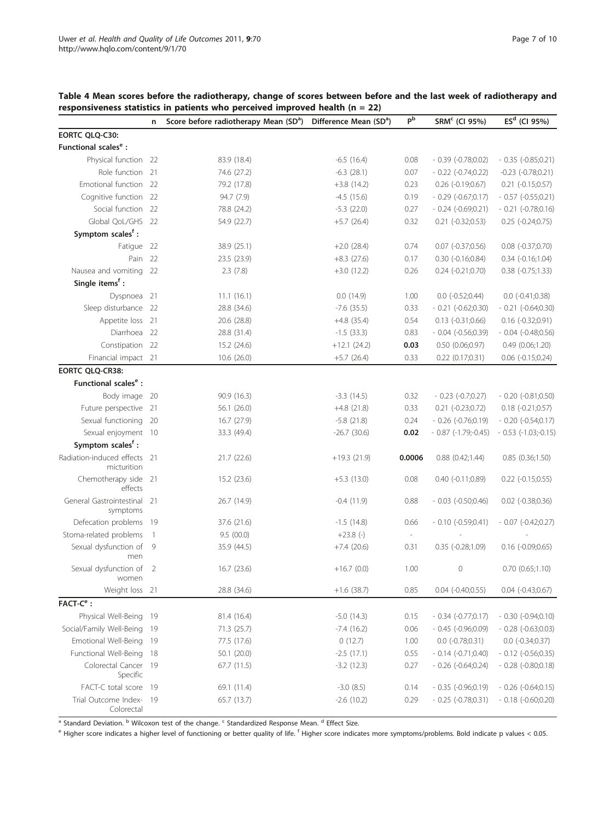<span id="page-6-0"></span>

| Table 4 Mean scores before the radiotherapy, change of scores between before and the last week of radiotherapy and |  |
|--------------------------------------------------------------------------------------------------------------------|--|
| responsiveness statistics in patients who perceived improved health ( $n = 22$ )                                   |  |

|                                          | n              | $\sim$ and construct in panelies who perceived improved nearly (i) $-$ 22)<br>Score before radiotherapy Mean (SD <sup>a</sup> ) Difference Mean (SD <sup>a</sup> ) |                | P <sub>b</sub> | SRM <sup>c</sup> (CI 95%) | $\overline{ES^d}$ (CI 95%)    |
|------------------------------------------|----------------|--------------------------------------------------------------------------------------------------------------------------------------------------------------------|----------------|----------------|---------------------------|-------------------------------|
| EORTC QLQ-C30:                           |                |                                                                                                                                                                    |                |                |                           |                               |
| Functional scales <sup>e</sup> :         |                |                                                                                                                                                                    |                |                |                           |                               |
| Physical function 22                     |                | 83.9 (18.4)                                                                                                                                                        | $-6.5$ (16.4)  | 0.08           | $-0.39$ ( $-0.78;0.02$ )  | $-0.35(-0.85;0.21)$           |
| Role function 21                         |                | 74.6 (27.2)                                                                                                                                                        | $-6.3$ (28.1)  | 0.07           | $-0.22$ $(-0.74;0.22)$    | $-0.23$ $(-0.78;0.21)$        |
| Emotional function 22                    |                | 79.2 (17.8)                                                                                                                                                        | $+3.8(14.2)$   | 0.23           | $0.26$ $(-0.19;0.67)$     | $0.21$ (-0.15;0.57)           |
| Cognitive function 22                    |                | 94.7 (7.9)                                                                                                                                                         | $-4.5(15.6)$   | 0.19           | $-0.29$ $(-0.67;0.17)$    | $-0.57$ (-0.55;0.21)          |
| Social function 22                       |                | 78.8 (24.2)                                                                                                                                                        | $-5.3$ (22.0)  | 0.27           | $-0.24$ $(-0.69;0.21)$    | $-0.21$ $(-0.78;0.16)$        |
| Global QoL/GHS 22                        |                | 54.9 (22.7)                                                                                                                                                        | $+5.7$ (26.4)  | 0.32           | $0.21$ $(-0.32;0.53)$     | $0.25$ $(-0.24;0.75)$         |
| Symptom scales <sup>f</sup> :            |                |                                                                                                                                                                    |                |                |                           |                               |
| Fatigue 22                               |                | 38.9 (25.1)                                                                                                                                                        | $+2.0(28.4)$   | 0.74           | $0.07$ $(-0.37;0.56)$     | 0.08 (-0.37;0.70)             |
| Pain 22                                  |                | 23.5 (23.9)                                                                                                                                                        | $+8.3(27.6)$   | 0.17           | $0.30$ $(-0.16;0.84)$     | $0.34$ $(-0.16;1.04)$         |
| Nausea and vomiting 22                   |                | 2.3(7.8)                                                                                                                                                           | $+3.0(12.2)$   | 0.26           | $0.24 (-0.21; 0.70)$      | $0.38$ $(-0.75;1.33)$         |
| Single items <sup>f</sup> :              |                |                                                                                                                                                                    |                |                |                           |                               |
| Dyspnoea 21                              |                | 11.1(16.1)                                                                                                                                                         | 0.0(14.9)      | 1.00           | $0.0$ ( $-0.52;0.44$ )    | $0.0$ ( $-0.41;0.38$ )        |
| Sleep disturbance 22                     |                | 28.8 (34.6)                                                                                                                                                        | $-7.6$ (35.5)  | 0.33           | $-0.21$ $(-0.62;0.30)$    | $-0.21$ $(-0.64;0.30)$        |
| Appetite loss 21                         |                | 20.6 (28.8)                                                                                                                                                        | $+4.8$ (35.4)  | 0.54           | $0.13$ $(-0.31;0.66)$     | $0.16(-0.32;0.91)$            |
| Diarrhoea 22                             |                | 28.8 (31.4)                                                                                                                                                        | $-1.5(33.3)$   | 0.83           | $-0.04$ $(-0.56;0.39)$    | $-0.04$ $(-0.48;0.56)$        |
| Constipation 22                          |                | 15.2(24.6)                                                                                                                                                         | $+12.1(24.2)$  | 0.03           | $0.50$ $(0.06;0.97)$      | 0.49(0.06;1.20)               |
| Financial impact 21                      |                | 10.6(26.0)                                                                                                                                                         | $+5.7$ (26.4)  | 0.33           | $0.22$ $(0.17;0.31)$      | $0.06$ $(-0.15;0.24)$         |
| EORTC QLQ-CR38:                          |                |                                                                                                                                                                    |                |                |                           |                               |
| Functional scales <sup>e</sup> :         |                |                                                                                                                                                                    |                |                |                           |                               |
| Body image                               | -20            | 90.9 (16.3)                                                                                                                                                        | $-3.3(14.5)$   | 0.32           | $-0.23(-0.7;0.27)$        | $-0.20$ $(-0.81;0.50)$        |
| Future perspective                       | 21             | 56.1 (26.0)                                                                                                                                                        | $+4.8$ (21.8)  | 0.33           | $0.21 (-0.23; 0.72)$      | $0.18 (-0.21; 0.57)$          |
| Sexual functioning                       | 20             | 16.7 (27.9)                                                                                                                                                        | $-5.8$ (21.8)  | 0.24           | $-0.26$ $(-0.76;0.19)$    | $-0.20(-0.54;0.17)$           |
| Sexual enjoyment 10                      |                | 33.3 (49.4)                                                                                                                                                        | $-26.7$ (30.6) | 0.02           | $-0.87$ $(-1.79,-0.45)$   | $-0.53$ ( $-1.03$ ; $-0.15$ ) |
| Symptom scales <sup>f</sup> :            |                |                                                                                                                                                                    |                |                |                           |                               |
| Radiation-induced effects<br>micturition | - 21           | 21.7 (22.6)                                                                                                                                                        | $+19.3(21.9)$  | 0.0006         | $0.88$ $(0.42;1.44)$      | 0.85 (0.36;1.50)              |
| Chemotherapy side<br>effects             | 21             | 15.2 (23.6)                                                                                                                                                        | $+5.3(13.0)$   | 0.08           | $0.40$ $(-0.11;0.89)$     | 0.22 (-0.15;0.55)             |
| General Gastrointestinal<br>symptoms     | 21             | 26.7 (14.9)                                                                                                                                                        | $-0.4(11.9)$   | 0.88           | $-0.03$ $(-0.50;0.46)$    | $0.02$ ( $-0.38;0.36$ )       |
| Defecation problems                      | -19            | 37.6 (21.6)                                                                                                                                                        | $-1.5(14.8)$   | 0.66           | $-0.10(-0.59;0.41)$       | $-0.07$ $(-0.42;0.27)$        |
| Stoma-related problems                   | $\overline{1}$ | 9.5(00.0)                                                                                                                                                          | $+23.8$ $(-)$  | $\sim$         |                           |                               |
| Sexual dysfunction of<br>men             | 9              | 35.9 (44.5)                                                                                                                                                        | $+7.4(20.6)$   | 0.31           | $0.35$ $(-0.28;1.09)$     | $0.16$ (-0.09;0.65)           |
| Sexual dysfunction of<br>women           | 2              | 16.7(23.6)                                                                                                                                                         | $+16.7(0.0)$   | 1.00           | $\circ$                   | $0.70$ $(0.65;1.10)$          |
| Weight loss 21                           |                | 28.8 (34.6)                                                                                                                                                        | $+1.6(38.7)$   | 0.85           | $0.04$ $(-0.40;0.55)$     | $0.04$ $(-0.43;0.67)$         |
| FACT-C <sup>e</sup> :                    |                |                                                                                                                                                                    |                |                |                           |                               |
| Physical Well-Being                      | 19             | 81.4 (16.4)                                                                                                                                                        | $-5.0$ (14.3)  | 0.15           | $-0.34(-0.77;0.17)$       | $-0.30(-0.94;0.10)$           |
| Social/Family Well-Being                 | 19             | 71.3 (25.7)                                                                                                                                                        | $-7.4(16.2)$   | 0.06           | $-0.45$ $(-0.96;0.09)$    | $-0.28$ $(-0.63;0.03)$        |
| Emotional Well-Being                     | -19            | 77.5 (17.6)                                                                                                                                                        | 0(12.7)        | 1.00           | $0.0$ ( $-0.78;0.31$ )    | $0.0$ (-0.34;0.37)            |
| Functional Well-Being                    | 18             | 50.1 (20.0)                                                                                                                                                        | $-2.5(17.1)$   | 0.55           | $-0.14(-0.71;0.40)$       | $-0.12$ ( $-0.56;0.35$ )      |
| Colorectal Cancer<br>Specific            | -19            | 67.7 (11.5)                                                                                                                                                        | $-3.2(12.3)$   | 0.27           | $-0.26(-0.64;0.24)$       | $-0.28$ $(-0.80;0.18)$        |
| FACT-C total score                       | - 19           | 69.1 (11.4)                                                                                                                                                        | $-3.0$ $(8.5)$ | 0.14           | $-0.35(-0.96;0.19)$       | $-0.26(-0.64;0.15)$           |
| Trial Outcome Index-<br>Colorectal       | - 19           | 65.7 (13.7)                                                                                                                                                        | $-2.6(10.2)$   | 0.29           | $-0.25(-0.78,0.31)$       | $-0.18$ $(-0.60;0.20)$        |

a Standard Deviation. <sup>b</sup> Wilcoxon test of the change. <sup>c</sup> Standardized Response Mean. <sup>d</sup> Effect Size.

<sup>e</sup> Higher score indicates a higher level of functioning or better quality of life. <sup>f</sup> Higher score indicates more symptoms/problems. Bold indicate p values < 0.05.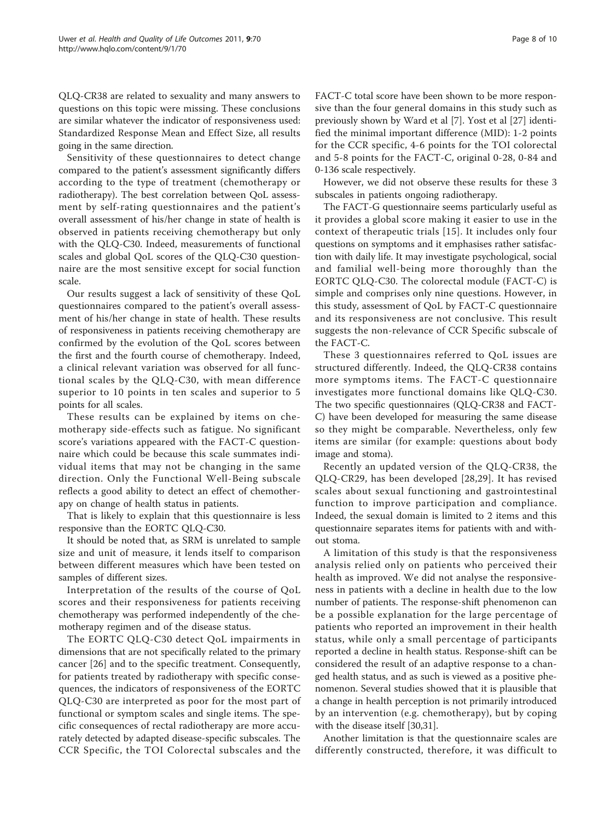QLQ-CR38 are related to sexuality and many answers to questions on this topic were missing. These conclusions are similar whatever the indicator of responsiveness used: Standardized Response Mean and Effect Size, all results going in the same direction.

Sensitivity of these questionnaires to detect change compared to the patient's assessment significantly differs according to the type of treatment (chemotherapy or radiotherapy). The best correlation between QoL assessment by self-rating questionnaires and the patient's overall assessment of his/her change in state of health is observed in patients receiving chemotherapy but only with the QLQ-C30. Indeed, measurements of functional scales and global QoL scores of the QLQ-C30 questionnaire are the most sensitive except for social function scale.

Our results suggest a lack of sensitivity of these QoL questionnaires compared to the patient's overall assessment of his/her change in state of health. These results of responsiveness in patients receiving chemotherapy are confirmed by the evolution of the QoL scores between the first and the fourth course of chemotherapy. Indeed, a clinical relevant variation was observed for all functional scales by the QLQ-C30, with mean difference superior to 10 points in ten scales and superior to 5 points for all scales.

These results can be explained by items on chemotherapy side-effects such as fatigue. No significant score's variations appeared with the FACT-C questionnaire which could be because this scale summates individual items that may not be changing in the same direction. Only the Functional Well-Being subscale reflects a good ability to detect an effect of chemotherapy on change of health status in patients.

That is likely to explain that this questionnaire is less responsive than the EORTC QLQ-C30.

It should be noted that, as SRM is unrelated to sample size and unit of measure, it lends itself to comparison between different measures which have been tested on samples of different sizes.

Interpretation of the results of the course of QoL scores and their responsiveness for patients receiving chemotherapy was performed independently of the chemotherapy regimen and of the disease status.

The EORTC QLQ-C30 detect QoL impairments in dimensions that are not specifically related to the primary cancer [[26](#page-9-0)] and to the specific treatment. Consequently, for patients treated by radiotherapy with specific consequences, the indicators of responsiveness of the EORTC QLQ-C30 are interpreted as poor for the most part of functional or symptom scales and single items. The specific consequences of rectal radiotherapy are more accurately detected by adapted disease-specific subscales. The CCR Specific, the TOI Colorectal subscales and the FACT-C total score have been shown to be more responsive than the four general domains in this study such as previously shown by Ward et al [\[7](#page-8-0)]. Yost et al [\[27\]](#page-9-0) identified the minimal important difference (MID): 1-2 points for the CCR specific, 4-6 points for the TOI colorectal and 5-8 points for the FACT-C, original 0-28, 0-84 and 0-136 scale respectively.

However, we did not observe these results for these 3 subscales in patients ongoing radiotherapy.

The FACT-G questionnaire seems particularly useful as it provides a global score making it easier to use in the context of therapeutic trials [\[15\]](#page-9-0). It includes only four questions on symptoms and it emphasises rather satisfaction with daily life. It may investigate psychological, social and familial well-being more thoroughly than the EORTC QLQ-C30. The colorectal module (FACT-C) is simple and comprises only nine questions. However, in this study, assessment of QoL by FACT-C questionnaire and its responsiveness are not conclusive. This result suggests the non-relevance of CCR Specific subscale of the FACT-C.

These 3 questionnaires referred to QoL issues are structured differently. Indeed, the QLQ-CR38 contains more symptoms items. The FACT-C questionnaire investigates more functional domains like QLQ-C30. The two specific questionnaires (QLQ-CR38 and FACT-C) have been developed for measuring the same disease so they might be comparable. Nevertheless, only few items are similar (for example: questions about body image and stoma).

Recently an updated version of the QLQ-CR38, the QLQ-CR29, has been developed [\[28](#page-9-0),[29](#page-9-0)]. It has revised scales about sexual functioning and gastrointestinal function to improve participation and compliance. Indeed, the sexual domain is limited to 2 items and this questionnaire separates items for patients with and without stoma.

A limitation of this study is that the responsiveness analysis relied only on patients who perceived their health as improved. We did not analyse the responsiveness in patients with a decline in health due to the low number of patients. The response-shift phenomenon can be a possible explanation for the large percentage of patients who reported an improvement in their health status, while only a small percentage of participants reported a decline in health status. Response-shift can be considered the result of an adaptive response to a changed health status, and as such is viewed as a positive phenomenon. Several studies showed that it is plausible that a change in health perception is not primarily introduced by an intervention (e.g. chemotherapy), but by coping with the disease itself [\[30,31\]](#page-9-0).

Another limitation is that the questionnaire scales are differently constructed, therefore, it was difficult to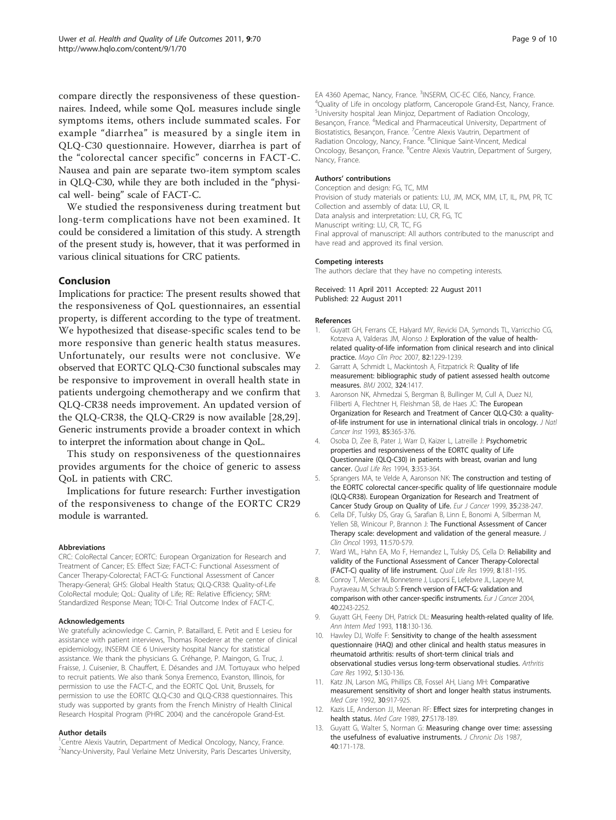<span id="page-8-0"></span>compare directly the responsiveness of these questionnaires. Indeed, while some QoL measures include single symptoms items, others include summated scales. For example "diarrhea" is measured by a single item in QLQ-C30 questionnaire. However, diarrhea is part of the "colorectal cancer specific" concerns in FACT-C. Nausea and pain are separate two-item symptom scales in QLQ-C30, while they are both included in the "physical well- being" scale of FACT-C.

We studied the responsiveness during treatment but long-term complications have not been examined. It could be considered a limitation of this study. A strength of the present study is, however, that it was performed in various clinical situations for CRC patients.

# Conclusion

Implications for practice: The present results showed that the responsiveness of QoL questionnaires, an essential property, is different according to the type of treatment. We hypothesized that disease-specific scales tend to be more responsive than generic health status measures. Unfortunately, our results were not conclusive. We observed that EORTC QLQ-C30 functional subscales may be responsive to improvement in overall health state in patients undergoing chemotherapy and we confirm that QLQ-CR38 needs improvement. An updated version of the QLQ-CR38, the QLQ-CR29 is now available [[28,29](#page-9-0)]. Generic instruments provide a broader context in which to interpret the information about change in QoL.

This study on responsiveness of the questionnaires provides arguments for the choice of generic to assess QoL in patients with CRC.

Implications for future research: Further investigation of the responsiveness to change of the EORTC CR29 module is warranted.

#### Abbreviations

CRC: ColoRectal Cancer; EORTC: European Organization for Research and Treatment of Cancer; ES: Effect Size; FACT-C: Functional Assessment of Cancer Therapy-Colorectal; FACT-G: Functional Assessment of Cancer Therapy-General; GHS: Global Health Status; QLQ-CR38: Quality-of-Life ColoRectal module; QoL: Quality of Life; RE: Relative Efficiency; SRM: Standardized Response Mean; TOI-C: Trial Outcome Index of FACT-C.

#### Acknowledgements

We gratefully acknowledge C. Carnin, P. Bataillard, E. Petit and E Lesieu for assistance with patient interviews, Thomas Roederer at the center of clinical epidemiology, INSERM CIE 6 University hospital Nancy for statistical assistance. We thank the physicians G. Créhange, P. Maingon, G. Truc, J. Fraisse, J. Cuisenier, B. Chauffert, E. Désandes and J.M. Tortuyaux who helped to recruit patients. We also thank Sonya Eremenco, Evanston, Illinois, for permission to use the FACT-C, and the EORTC QoL Unit, Brussels, for permission to use the EORTC QLQ-C30 and QLQ-CR38 questionnaires. This study was supported by grants from the French Ministry of Health Clinical Research Hospital Program (PHRC 2004) and the cancéropole Grand-Est.

#### Author details

<sup>1</sup>Centre Alexis Vautrin, Department of Medical Oncology, Nancy, France. <sup>2</sup>Nancy-University, Paul Verlaine Metz University, Paris Descartes University,

EA 4360 Apemac, Nancy, France. <sup>3</sup>INSERM, CIC-EC CIE6, Nancy, France.<br><sup>4</sup>Ouality of Life in oncology platform, Canceropole Grand-Est, Nancy, B <sup>4</sup>Quality of Life in oncology platform, Canceropole Grand-Est, Nancy, France. 5 University hospital Jean Minjoz, Department of Radiation Oncology, Besançon, France. <sup>6</sup>Medical and Pharmaceutical University, Department of Biostatistics, Besançon, France. <sup>7</sup>Centre Alexis Vautrin, Department of Radiation Oncology, Nancy, France. <sup>8</sup>Clinique Saint-Vincent, Medical Oncology, Besançon, France. <sup>9</sup>Centre Alexis Vautrin, Department of Surgery, Nancy, France.

#### Authors' contributions

Conception and design: FG, TC, MM Provision of study materials or patients: LU, JM, MCK, MM, LT, IL, PM, PR, TC Collection and assembly of data: LU, CR, IL Data analysis and interpretation: LU, CR, FG, TC Manuscript writing: LU, CR, TC, FG Final approval of manuscript: All authors contributed to the manuscript and have read and approved its final version.

#### Competing interests

The authors declare that they have no competing interests.

Received: 11 April 2011 Accepted: 22 August 2011 Published: 22 August 2011

#### References

- 1. Guyatt GH, Ferrans CE, Halyard MY, Revicki DA, Symonds TL, Varricchio CG, Kotzeva A, Valderas JM, Alonso J: [Exploration of the value of health](http://www.ncbi.nlm.nih.gov/pubmed/17908529?dopt=Abstract)[related quality-of-life information from clinical research and into clinical](http://www.ncbi.nlm.nih.gov/pubmed/17908529?dopt=Abstract) [practice.](http://www.ncbi.nlm.nih.gov/pubmed/17908529?dopt=Abstract) Mayo Clin Proc 2007, 82:1229-1239.
- 2. Garratt A, Schmidt L, Mackintosh A, Fitzpatrick R: [Quality of life](http://www.ncbi.nlm.nih.gov/pubmed/12065262?dopt=Abstract) [measurement: bibliographic study of patient assessed health outcome](http://www.ncbi.nlm.nih.gov/pubmed/12065262?dopt=Abstract) [measures.](http://www.ncbi.nlm.nih.gov/pubmed/12065262?dopt=Abstract) BMJ 2002, 324:1417.
- 3. Aaronson NK, Ahmedzai S, Bergman B, Bullinger M, Cull A, Duez NJ, Filiberti A, Flechtner H, Fleishman SB, de Haes JC: [The European](http://www.ncbi.nlm.nih.gov/pubmed/8433390?dopt=Abstract) [Organization for Research and Treatment of Cancer QLQ-C30: a quality](http://www.ncbi.nlm.nih.gov/pubmed/8433390?dopt=Abstract)[of-life instrument for use in international clinical trials in oncology.](http://www.ncbi.nlm.nih.gov/pubmed/8433390?dopt=Abstract) J Natl Cancer Inst 1993, 85:365-376.
- 4. Osoba D, Zee B, Pater J, Warr D, Kaizer L, Latreille J: [Psychometric](http://www.ncbi.nlm.nih.gov/pubmed/7841968?dopt=Abstract) [properties and responsiveness of the EORTC quality of Life](http://www.ncbi.nlm.nih.gov/pubmed/7841968?dopt=Abstract) [Questionnaire \(QLQ-C30\) in patients with breast, ovarian and lung](http://www.ncbi.nlm.nih.gov/pubmed/7841968?dopt=Abstract) [cancer.](http://www.ncbi.nlm.nih.gov/pubmed/7841968?dopt=Abstract) Qual Life Res 1994, 3:353-364.
- 5. Sprangers MA, te Velde A, Aaronson NK: [The construction and testing of](http://www.ncbi.nlm.nih.gov/pubmed/10448266?dopt=Abstract) [the EORTC colorectal cancer-specific quality of life questionnaire module](http://www.ncbi.nlm.nih.gov/pubmed/10448266?dopt=Abstract) [\(QLQ-CR38\). European Organization for Research and Treatment of](http://www.ncbi.nlm.nih.gov/pubmed/10448266?dopt=Abstract) [Cancer Study Group on Quality of Life.](http://www.ncbi.nlm.nih.gov/pubmed/10448266?dopt=Abstract) Eur J Cancer 1999, 35:238-247.
- 6. Cella DF, Tulsky DS, Gray G, Sarafian B, Linn E, Bonomi A, Silberman M, Yellen SB, Winicour P, Brannon J: [The Functional Assessment of Cancer](http://www.ncbi.nlm.nih.gov/pubmed/8445433?dopt=Abstract) [Therapy scale: development and validation of the general measure.](http://www.ncbi.nlm.nih.gov/pubmed/8445433?dopt=Abstract) J Clin Oncol 1993, 11:570-579.
- Ward WL, Hahn EA, Mo F, Hernandez L, Tulsky DS, Cella D: [Reliability and](http://www.ncbi.nlm.nih.gov/pubmed/10472150?dopt=Abstract) [validity of the Functional Assessment of Cancer Therapy-Colorectal](http://www.ncbi.nlm.nih.gov/pubmed/10472150?dopt=Abstract) [\(FACT-C\) quality of life instrument.](http://www.ncbi.nlm.nih.gov/pubmed/10472150?dopt=Abstract) Qual Life Res 1999, 8:181-195.
- 8. Conroy T, Mercier M, Bonneterre J, Luporsi E, Lefebvre JL, Lapeyre M, Puyraveau M, Schraub S: [French version of FACT-G: validation and](http://www.ncbi.nlm.nih.gov/pubmed/15454249?dopt=Abstract) [comparison with other cancer-specific instruments.](http://www.ncbi.nlm.nih.gov/pubmed/15454249?dopt=Abstract) Eur J Cancer 2004, 40:2243-2252.
- 9. Guyatt GH, Feeny DH, Patrick DL: Measuring health-related quality of life. Ann Intern Med 1993, 118:130-136.
- 10. Hawley DJ, Wolfe F: [Sensitivity to change of the health assessment](http://www.ncbi.nlm.nih.gov/pubmed/1457487?dopt=Abstract) [questionnaire \(HAQ\) and other clinical and health status measures in](http://www.ncbi.nlm.nih.gov/pubmed/1457487?dopt=Abstract) [rheumatoid arthritis: results of short-term clinical trials and](http://www.ncbi.nlm.nih.gov/pubmed/1457487?dopt=Abstract) [observational studies versus long-term observational studies.](http://www.ncbi.nlm.nih.gov/pubmed/1457487?dopt=Abstract) Arthritis Care Res 1992, 5:130-136.
- 11. Katz JN, Larson MG, Phillips CB, Fossel AH, Liang MH: [Comparative](http://www.ncbi.nlm.nih.gov/pubmed/1405797?dopt=Abstract) [measurement sensitivity of short and longer health status instruments.](http://www.ncbi.nlm.nih.gov/pubmed/1405797?dopt=Abstract) Med Care 1992, 30:917-925.
- 12. Kazis LE, Anderson JJ, Meenan RF: [Effect sizes for interpreting changes in](http://www.ncbi.nlm.nih.gov/pubmed/2646488?dopt=Abstract) [health status.](http://www.ncbi.nlm.nih.gov/pubmed/2646488?dopt=Abstract) Med Care 1989, 27:S178-189.
- 13. Guyatt G, Walter S, Norman G: [Measuring change over time: assessing](http://www.ncbi.nlm.nih.gov/pubmed/3818871?dopt=Abstract) [the usefulness of evaluative instruments.](http://www.ncbi.nlm.nih.gov/pubmed/3818871?dopt=Abstract) J Chronic Dis 1987, 40:171-178.